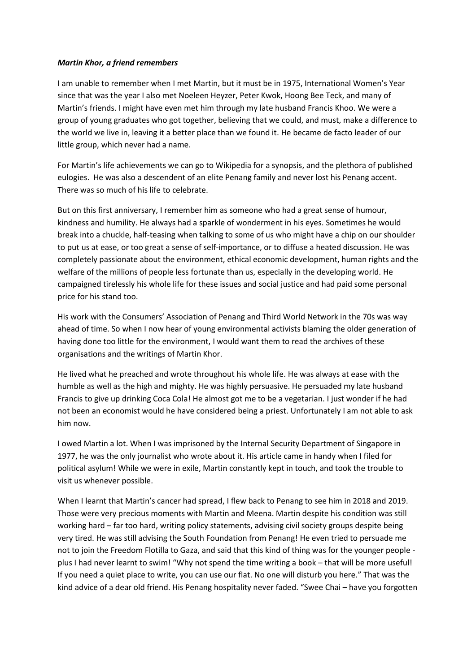## *Martin Khor, a friend remembers*

I am unable to remember when I met Martin, but it must be in 1975, International Women's Year since that was the year I also met Noeleen Heyzer, Peter Kwok, Hoong Bee Teck, and many of Martin's friends. I might have even met him through my late husband Francis Khoo. We were a group of young graduates who got together, believing that we could, and must, make a difference to the world we live in, leaving it a better place than we found it. He became de facto leader of our little group, which never had a name.

For Martin's life achievements we can go to Wikipedia for a synopsis, and the plethora of published eulogies. He was also a descendent of an elite Penang family and never lost his Penang accent. There was so much of his life to celebrate.

But on this first anniversary, I remember him as someone who had a great sense of humour, kindness and humility. He always had a sparkle of wonderment in his eyes. Sometimes he would break into a chuckle, half-teasing when talking to some of us who might have a chip on our shoulder to put us at ease, or too great a sense of self-importance, or to diffuse a heated discussion. He was completely passionate about the environment, ethical economic development, human rights and the welfare of the millions of people less fortunate than us, especially in the developing world. He campaigned tirelessly his whole life for these issues and social justice and had paid some personal price for his stand too.

His work with the Consumers' Association of Penang and Third World Network in the 70s was way ahead of time. So when I now hear of young environmental activists blaming the older generation of having done too little for the environment, I would want them to read the archives of these organisations and the writings of Martin Khor.

He lived what he preached and wrote throughout his whole life. He was always at ease with the humble as well as the high and mighty. He was highly persuasive. He persuaded my late husband Francis to give up drinking Coca Cola! He almost got me to be a vegetarian. I just wonder if he had not been an economist would he have considered being a priest. Unfortunately I am not able to ask him now.

I owed Martin a lot. When I was imprisoned by the Internal Security Department of Singapore in 1977, he was the only journalist who wrote about it. His article came in handy when I filed for political asylum! While we were in exile, Martin constantly kept in touch, and took the trouble to visit us whenever possible.

When I learnt that Martin's cancer had spread, I flew back to Penang to see him in 2018 and 2019. Those were very precious moments with Martin and Meena. Martin despite his condition was still working hard – far too hard, writing policy statements, advising civil society groups despite being very tired. He was still advising the South Foundation from Penang! He even tried to persuade me not to join the Freedom Flotilla to Gaza, and said that this kind of thing was for the younger people plus I had never learnt to swim! "Why not spend the time writing a book – that will be more useful! If you need a quiet place to write, you can use our flat. No one will disturb you here." That was the kind advice of a dear old friend. His Penang hospitality never faded. "Swee Chai – have you forgotten